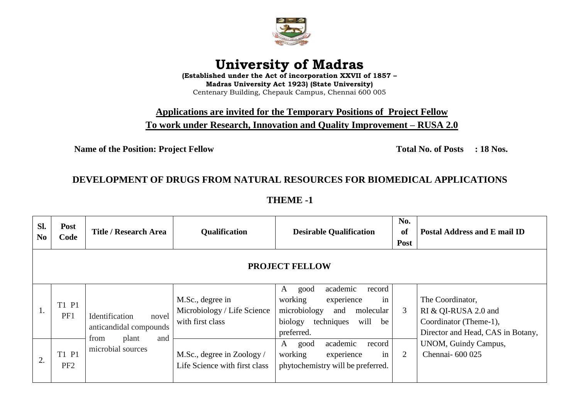

## **University of Madras**

**(Established under the Act of incorporation XXVII of 1857 – Madras University Act 1923) (State University)** Centenary Building, Chepauk Campus, Chennai 600 005

**Applications are invited for the Temporary Positions of Project Fellow To work under Research, Innovation and Quality Improvement – RUSA 2.0**

**Name of the Position: Project Fellow Total No. of Posts : 18 Nos.** 

## **DEVELOPMENT OF DRUGS FROM NATURAL RESOURCES FOR BIOMEDICAL APPLICATIONS**

**THEME -1**

| SI.<br>N <sub>0</sub> | <b>Post</b><br>Code      | Title / Research Area                                                                          | Qualification                                                       | <b>Desirable Qualification</b>                                                                                                                          | No.<br>of<br>Post | Postal Address and E mail ID                                                                                                                        |  |
|-----------------------|--------------------------|------------------------------------------------------------------------------------------------|---------------------------------------------------------------------|---------------------------------------------------------------------------------------------------------------------------------------------------------|-------------------|-----------------------------------------------------------------------------------------------------------------------------------------------------|--|
| <b>PROJECT FELLOW</b> |                          |                                                                                                |                                                                     |                                                                                                                                                         |                   |                                                                                                                                                     |  |
| 1.                    | T1 P1<br>PF1             | Identification<br>novel<br>anticandidal compounds<br>from<br>and<br>plant<br>microbial sources | M.Sc., degree in<br>Microbiology / Life Science<br>with first class | academic<br>good<br>record<br>A<br>in<br>working<br>experience<br>microbiology<br>molecular<br>and<br>techniques<br>biology<br>will<br>be<br>preferred. | 3                 | The Coordinator,<br>RI & QI-RUSA 2.0 and<br>Coordinator (Theme-1),<br>Director and Head, CAS in Botany,<br>UNOM, Guindy Campus,<br>Chennai- 600 025 |  |
| 2.                    | T1 P1<br>PF <sub>2</sub> |                                                                                                | M.Sc., degree in Zoology /<br>Life Science with first class         | academic<br>record<br>A<br>good<br>in<br>working<br>experience<br>phytochemistry will be preferred.                                                     | 2                 |                                                                                                                                                     |  |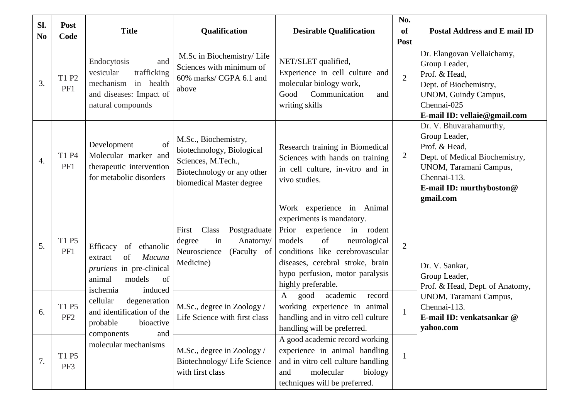| Sl.<br>N <sub>0</sub> | <b>Post</b><br>Code      | <b>Title</b>                                                                                                                        | Qualification                                                                                                                     | <b>Desirable Qualification</b>                                                                                                                                                                                                                             | No.<br><b>of</b><br>Post | <b>Postal Address and E mail ID</b>                                                                                                                                            |
|-----------------------|--------------------------|-------------------------------------------------------------------------------------------------------------------------------------|-----------------------------------------------------------------------------------------------------------------------------------|------------------------------------------------------------------------------------------------------------------------------------------------------------------------------------------------------------------------------------------------------------|--------------------------|--------------------------------------------------------------------------------------------------------------------------------------------------------------------------------|
| 3.                    | T1 P2<br>PF1             | Endocytosis<br>and<br>vesicular<br>trafficking<br>mechanism<br>in health<br>and diseases: Impact of<br>natural compounds            | M.Sc in Biochemistry/ Life<br>Sciences with minimum of<br>60% marks/ CGPA 6.1 and<br>above                                        | NET/SLET qualified,<br>Experience in cell culture and<br>molecular biology work,<br>Good<br>Communication<br>and<br>writing skills                                                                                                                         | $\overline{2}$           | Dr. Elangovan Vellaichamy,<br>Group Leader,<br>Prof. & Head,<br>Dept. of Biochemistry,<br>UNOM, Guindy Campus,<br>Chennai-025<br>E-mail ID: vellaie@gmail.com                  |
| 4.                    | T1 P4<br>PF1             | of<br>Development<br>Molecular marker and<br>therapeutic intervention<br>for metabolic disorders                                    | M.Sc., Biochemistry,<br>biotechnology, Biological<br>Sciences, M.Tech.,<br>Biotechnology or any other<br>biomedical Master degree | Research training in Biomedical<br>Sciences with hands on training<br>in cell culture, in-vitro and in<br>vivo studies.                                                                                                                                    | $\overline{2}$           | Dr. V. Bhuvarahamurthy,<br>Group Leader,<br>Prof. & Head,<br>Dept. of Medical Biochemistry,<br>UNOM, Taramani Campus,<br>Chennai-113.<br>E-mail ID: murthyboston@<br>gmail.com |
| 5.                    | T1 P5<br>PF1             | Efficacy<br>ethanolic<br>of<br>Mucuna<br>of<br>extract<br>pruriens in pre-clinical<br>of<br>models<br>animal<br>induced<br>ischemia | Class<br>Postgraduate<br>First<br>in<br>Anatomy/<br>degree<br>Neuroscience<br>(Faculty of<br>Medicine)                            | Work experience in Animal<br>experiments is mandatory.<br>Prior<br>experience<br>in rodent<br>of<br>models<br>neurological<br>conditions like cerebrovascular<br>diseases, cerebral stroke, brain<br>hypo perfusion, motor paralysis<br>highly preferable. | $\overline{2}$           | Dr. V. Sankar,<br>Group Leader,<br>Prof. & Head, Dept. of Anatomy,                                                                                                             |
| 6.                    | T1 P5<br>PF <sub>2</sub> | cellular<br>degeneration<br>and identification of the<br>probable bioactive<br>components<br>and<br>molecular mechanisms            | M.Sc., degree in Zoology /<br>Life Science with first class                                                                       | academic<br>good<br>A<br>record<br>working experience in animal<br>handling and in vitro cell culture<br>handling will be preferred.                                                                                                                       | $\mathbf{1}$             | UNOM, Taramani Campus,<br>Chennai-113.<br>E-mail ID: venkatsankar @<br>yahoo.com                                                                                               |
| 7.                    | T1 P5<br>PF3             |                                                                                                                                     | M.Sc., degree in Zoology /<br>Biotechnology/Life Science<br>with first class                                                      | A good academic record working<br>experience in animal handling<br>and in vitro cell culture handling<br>and<br>molecular<br>biology<br>techniques will be preferred.                                                                                      | $\mathbf{1}$             |                                                                                                                                                                                |